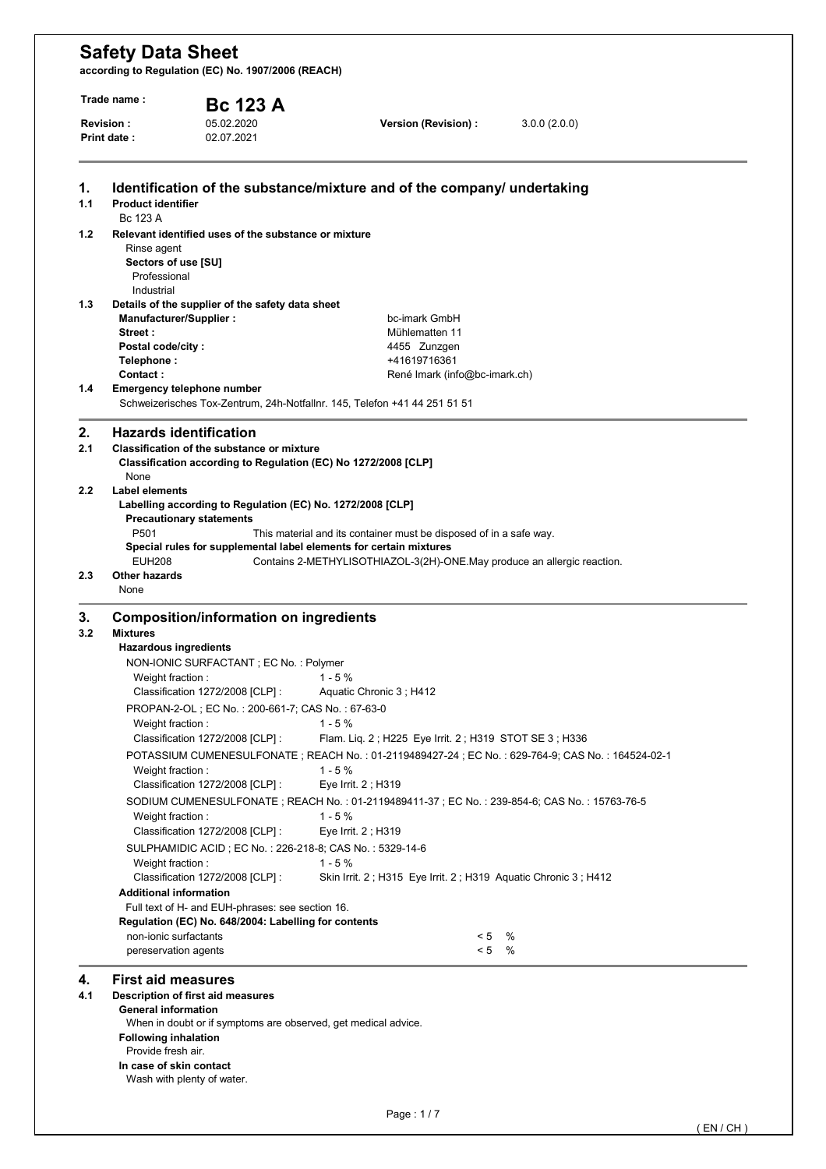| Trade name :<br>Revision: |                                                                                                          | <b>Bc 123 A</b>                                                                               |                                                                           |                               |                                                                                                      |  |  |
|---------------------------|----------------------------------------------------------------------------------------------------------|-----------------------------------------------------------------------------------------------|---------------------------------------------------------------------------|-------------------------------|------------------------------------------------------------------------------------------------------|--|--|
|                           |                                                                                                          | 05.02.2020                                                                                    | Version (Revision) :                                                      |                               | 3.0.0(2.0.0)                                                                                         |  |  |
|                           | <b>Print date:</b>                                                                                       | 02.07.2021                                                                                    |                                                                           |                               |                                                                                                      |  |  |
| 1.                        |                                                                                                          |                                                                                               | Identification of the substance/mixture and of the company/ undertaking   |                               |                                                                                                      |  |  |
| 1.1                       | <b>Product identifier</b><br>Bc 123 A                                                                    |                                                                                               |                                                                           |                               |                                                                                                      |  |  |
| 1.2                       |                                                                                                          | Relevant identified uses of the substance or mixture                                          |                                                                           |                               |                                                                                                      |  |  |
|                           | Rinse agent<br>Sectors of use [SU]                                                                       |                                                                                               |                                                                           |                               |                                                                                                      |  |  |
|                           | Professional<br>Industrial                                                                               |                                                                                               |                                                                           |                               |                                                                                                      |  |  |
| 1.3                       |                                                                                                          | Details of the supplier of the safety data sheet                                              |                                                                           |                               |                                                                                                      |  |  |
|                           | Manufacturer/Supplier :<br>Street:                                                                       |                                                                                               | bc-imark GmbH<br>Mühlematten 11                                           |                               |                                                                                                      |  |  |
|                           | Postal code/city:                                                                                        |                                                                                               | 4455 Zunzgen                                                              |                               |                                                                                                      |  |  |
|                           | Telephone:                                                                                               |                                                                                               | +41619716361                                                              |                               |                                                                                                      |  |  |
|                           | Contact:                                                                                                 |                                                                                               |                                                                           | René Imark (info@bc-imark.ch) |                                                                                                      |  |  |
| 1.4                       |                                                                                                          | <b>Emergency telephone number</b>                                                             | Schweizerisches Tox-Zentrum, 24h-Notfallnr. 145, Telefon +41 44 251 51 51 |                               |                                                                                                      |  |  |
| 2.                        |                                                                                                          | <b>Hazards identification</b>                                                                 |                                                                           |                               |                                                                                                      |  |  |
| 2.1                       |                                                                                                          | <b>Classification of the substance or mixture</b>                                             |                                                                           |                               |                                                                                                      |  |  |
|                           | None                                                                                                     |                                                                                               | Classification according to Regulation (EC) No 1272/2008 [CLP]            |                               |                                                                                                      |  |  |
| 2.2                       | Label elements                                                                                           |                                                                                               |                                                                           |                               |                                                                                                      |  |  |
|                           |                                                                                                          | Labelling according to Regulation (EC) No. 1272/2008 [CLP]<br><b>Precautionary statements</b> |                                                                           |                               |                                                                                                      |  |  |
|                           | P501                                                                                                     |                                                                                               | This material and its container must be disposed of in a safe way.        |                               |                                                                                                      |  |  |
|                           |                                                                                                          |                                                                                               | Special rules for supplemental label elements for certain mixtures        |                               |                                                                                                      |  |  |
|                           | <b>EUH208</b>                                                                                            |                                                                                               | Contains 2-METHYLISOTHIAZOL-3(2H)-ONE.May produce an allergic reaction.   |                               |                                                                                                      |  |  |
| 2.3                       | <b>Other hazards</b>                                                                                     |                                                                                               |                                                                           |                               |                                                                                                      |  |  |
|                           | None                                                                                                     |                                                                                               |                                                                           |                               |                                                                                                      |  |  |
| 3.                        |                                                                                                          | <b>Composition/information on ingredients</b>                                                 |                                                                           |                               |                                                                                                      |  |  |
| 3.2                       | <b>Mixtures</b>                                                                                          |                                                                                               |                                                                           |                               |                                                                                                      |  |  |
|                           | <b>Hazardous ingredients</b>                                                                             |                                                                                               |                                                                           |                               |                                                                                                      |  |  |
|                           | Weight fraction:                                                                                         | NON-IONIC SURFACTANT ; EC No. : Polymer                                                       | $1 - 5%$                                                                  |                               |                                                                                                      |  |  |
|                           |                                                                                                          | Classification 1272/2008 [CLP] :                                                              | Aquatic Chronic 3; H412                                                   |                               |                                                                                                      |  |  |
|                           |                                                                                                          | PROPAN-2-OL; EC No.: 200-661-7; CAS No.: 67-63-0                                              |                                                                           |                               |                                                                                                      |  |  |
|                           | Weight fraction:                                                                                         |                                                                                               | $1 - 5%$                                                                  |                               |                                                                                                      |  |  |
|                           |                                                                                                          | Classification 1272/2008 [CLP] :                                                              | Flam. Liq. 2; H225 Eye Irrit. 2; H319 STOT SE 3; H336                     |                               |                                                                                                      |  |  |
|                           |                                                                                                          |                                                                                               |                                                                           |                               | POTASSIUM CUMENESULFONATE ; REACH No. : 01-2119489427-24 ; EC No. : 629-764-9; CAS No. : 164524-02-1 |  |  |
|                           | Weight fraction:                                                                                         |                                                                                               | $1 - 5%$                                                                  |                               |                                                                                                      |  |  |
|                           | Classification 1272/2008 [CLP] :<br>Eye Irrit. 2; H319                                                   |                                                                                               |                                                                           |                               |                                                                                                      |  |  |
|                           | SODIUM CUMENESULFONATE ; REACH No. : 01-2119489411-37 ; EC No. : 239-854-6; CAS No. : 15763-76-5         |                                                                                               |                                                                           |                               |                                                                                                      |  |  |
|                           | Weight fraction:                                                                                         |                                                                                               | $1 - 5%$                                                                  |                               |                                                                                                      |  |  |
|                           |                                                                                                          | Classification 1272/2008 [CLP] :                                                              | Eye Irrit. 2; H319                                                        |                               |                                                                                                      |  |  |
|                           |                                                                                                          |                                                                                               | SULPHAMIDIC ACID; EC No.: 226-218-8; CAS No.: 5329-14-6                   |                               |                                                                                                      |  |  |
|                           | Weight fraction:                                                                                         |                                                                                               | $1 - 5%$                                                                  |                               |                                                                                                      |  |  |
|                           |                                                                                                          | Classification 1272/2008 [CLP] :                                                              |                                                                           |                               | Skin Irrit. 2; H315 Eye Irrit. 2; H319 Aquatic Chronic 3; H412                                       |  |  |
|                           | <b>Additional information</b>                                                                            |                                                                                               |                                                                           |                               |                                                                                                      |  |  |
|                           | Full text of H- and EUH-phrases: see section 16.<br>Regulation (EC) No. 648/2004: Labelling for contents |                                                                                               |                                                                           |                               |                                                                                                      |  |  |
|                           |                                                                                                          |                                                                                               |                                                                           |                               |                                                                                                      |  |  |
|                           | non-ionic surfactants<br>pereservation agents                                                            |                                                                                               |                                                                           | < 5<br>< 5                    | %<br>%                                                                                               |  |  |
| 4.                        | <b>First aid measures</b>                                                                                |                                                                                               |                                                                           |                               |                                                                                                      |  |  |
| 4.1                       |                                                                                                          | Description of first aid measures                                                             |                                                                           |                               |                                                                                                      |  |  |
|                           | <b>General information</b>                                                                               |                                                                                               |                                                                           |                               |                                                                                                      |  |  |
|                           |                                                                                                          | When in doubt or if symptoms are observed, get medical advice.                                |                                                                           |                               |                                                                                                      |  |  |
|                           | <b>Following inhalation</b><br>Provide fresh air.                                                        |                                                                                               |                                                                           |                               |                                                                                                      |  |  |
|                           | In case of skin contact                                                                                  |                                                                                               |                                                                           |                               |                                                                                                      |  |  |
|                           |                                                                                                          | Wash with plenty of water.                                                                    |                                                                           |                               |                                                                                                      |  |  |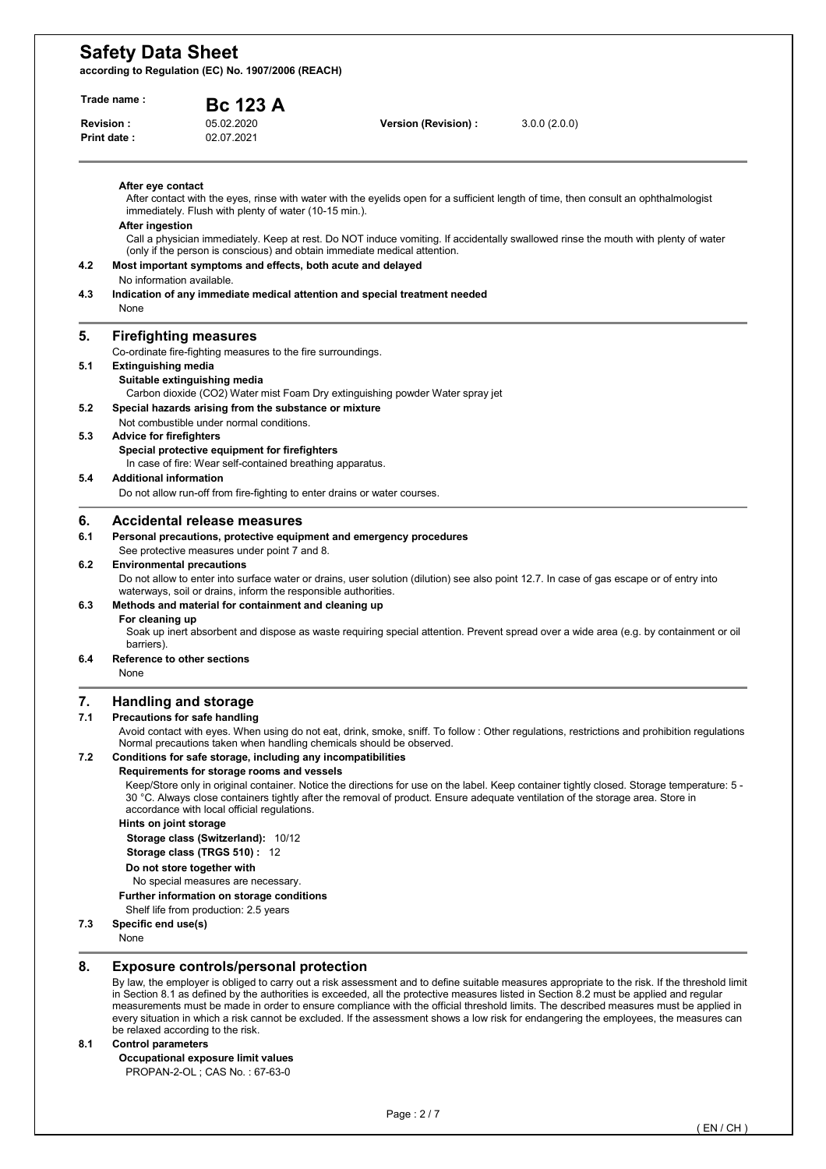**according to Regulation (EC) No. 1907/2006 (REACH)** 

| <b>Revision:</b> | <b>Print date:</b>             | 05.02.2020<br>02.07.2021                                                                                            | Version (Revision) :                                                          | 3.0.0(2.0.0)                                                                                                                                                                                                                                                                 |
|------------------|--------------------------------|---------------------------------------------------------------------------------------------------------------------|-------------------------------------------------------------------------------|------------------------------------------------------------------------------------------------------------------------------------------------------------------------------------------------------------------------------------------------------------------------------|
|                  |                                |                                                                                                                     |                                                                               |                                                                                                                                                                                                                                                                              |
|                  |                                |                                                                                                                     |                                                                               |                                                                                                                                                                                                                                                                              |
|                  | After eye contact              | immediately. Flush with plenty of water (10-15 min.).                                                               |                                                                               | After contact with the eyes, rinse with water with the eyelids open for a sufficient length of time, then consult an ophthalmologist                                                                                                                                         |
|                  | After ingestion                | (only if the person is conscious) and obtain immediate medical attention.                                           |                                                                               | Call a physician immediately. Keep at rest. Do NOT induce vomiting. If accidentally swallowed rinse the mouth with plenty of water                                                                                                                                           |
| 4.2              |                                | Most important symptoms and effects, both acute and delayed<br>No information available.                            |                                                                               |                                                                                                                                                                                                                                                                              |
| 4.3              | None                           |                                                                                                                     | Indication of any immediate medical attention and special treatment needed    |                                                                                                                                                                                                                                                                              |
| 5.               |                                | <b>Firefighting measures</b>                                                                                        |                                                                               |                                                                                                                                                                                                                                                                              |
| 5.1              | <b>Extinguishing media</b>     | Co-ordinate fire-fighting measures to the fire surroundings.                                                        |                                                                               |                                                                                                                                                                                                                                                                              |
|                  |                                | Suitable extinguishing media                                                                                        | Carbon dioxide (CO2) Water mist Foam Dry extinguishing powder Water spray jet |                                                                                                                                                                                                                                                                              |
| 5.2              |                                | Special hazards arising from the substance or mixture                                                               |                                                                               |                                                                                                                                                                                                                                                                              |
| 5.3              | <b>Advice for firefighters</b> | Not combustible under normal conditions.                                                                            |                                                                               |                                                                                                                                                                                                                                                                              |
|                  |                                | Special protective equipment for firefighters<br>In case of fire: Wear self-contained breathing apparatus.          |                                                                               |                                                                                                                                                                                                                                                                              |
| 5.4              | <b>Additional information</b>  | Do not allow run-off from fire-fighting to enter drains or water courses.                                           |                                                                               |                                                                                                                                                                                                                                                                              |
| 6.               |                                | Accidental release measures                                                                                         |                                                                               |                                                                                                                                                                                                                                                                              |
| 6.1              |                                | Personal precautions, protective equipment and emergency procedures<br>See protective measures under point 7 and 8. |                                                                               |                                                                                                                                                                                                                                                                              |
| 6.2              |                                | <b>Environmental precautions</b><br>waterways, soil or drains, inform the responsible authorities.                  |                                                                               | Do not allow to enter into surface water or drains, user solution (dilution) see also point 12.7. In case of gas escape or of entry into                                                                                                                                     |
| 6.3              |                                | Methods and material for containment and cleaning up                                                                |                                                                               |                                                                                                                                                                                                                                                                              |
|                  | For cleaning up<br>barriers).  |                                                                                                                     |                                                                               | Soak up inert absorbent and dispose as waste requiring special attention. Prevent spread over a wide area (e.g. by containment or oil                                                                                                                                        |
| 6.4              | None                           | Reference to other sections                                                                                         |                                                                               |                                                                                                                                                                                                                                                                              |
| 7.               |                                | <b>Handling and storage</b>                                                                                         |                                                                               |                                                                                                                                                                                                                                                                              |
| 7.1              |                                | Precautions for safe handling                                                                                       |                                                                               |                                                                                                                                                                                                                                                                              |
| 7.2              |                                | Normal precautions taken when handling chemicals should be observed.                                                |                                                                               | Avoid contact with eyes. When using do not eat, drink, smoke, sniff. To follow: Other regulations, restrictions and prohibition regulations                                                                                                                                  |
|                  |                                | Conditions for safe storage, including any incompatibilities<br>Requirements for storage rooms and vessels          |                                                                               |                                                                                                                                                                                                                                                                              |
|                  |                                | accordance with local official regulations.                                                                         |                                                                               | Keep/Store only in original container. Notice the directions for use on the label. Keep container tightly closed. Storage temperature: 5 -<br>30 °C. Always close containers tightly after the removal of product. Ensure adequate ventilation of the storage area. Store in |
|                  | Hints on joint storage         |                                                                                                                     |                                                                               |                                                                                                                                                                                                                                                                              |
|                  |                                | Storage class (Switzerland): 10/12<br>Storage class (TRGS 510): 12                                                  |                                                                               |                                                                                                                                                                                                                                                                              |
|                  |                                | Do not store together with                                                                                          |                                                                               |                                                                                                                                                                                                                                                                              |
|                  |                                | No special measures are necessary.                                                                                  |                                                                               |                                                                                                                                                                                                                                                                              |
|                  |                                | Further information on storage conditions<br>Shelf life from production: 2.5 years                                  |                                                                               |                                                                                                                                                                                                                                                                              |
| 7.3              | Specific end use(s)            |                                                                                                                     |                                                                               |                                                                                                                                                                                                                                                                              |
|                  | None                           |                                                                                                                     |                                                                               |                                                                                                                                                                                                                                                                              |

every situation in which a risk cannot be excluded. If the assessment shows a low risk for endangering the employees, the measures can be relaxed according to the risk.

#### **8.1 Control parameters**

 **Occupational exposure limit values**  PROPAN-2-OL ; CAS No. : 67-63-0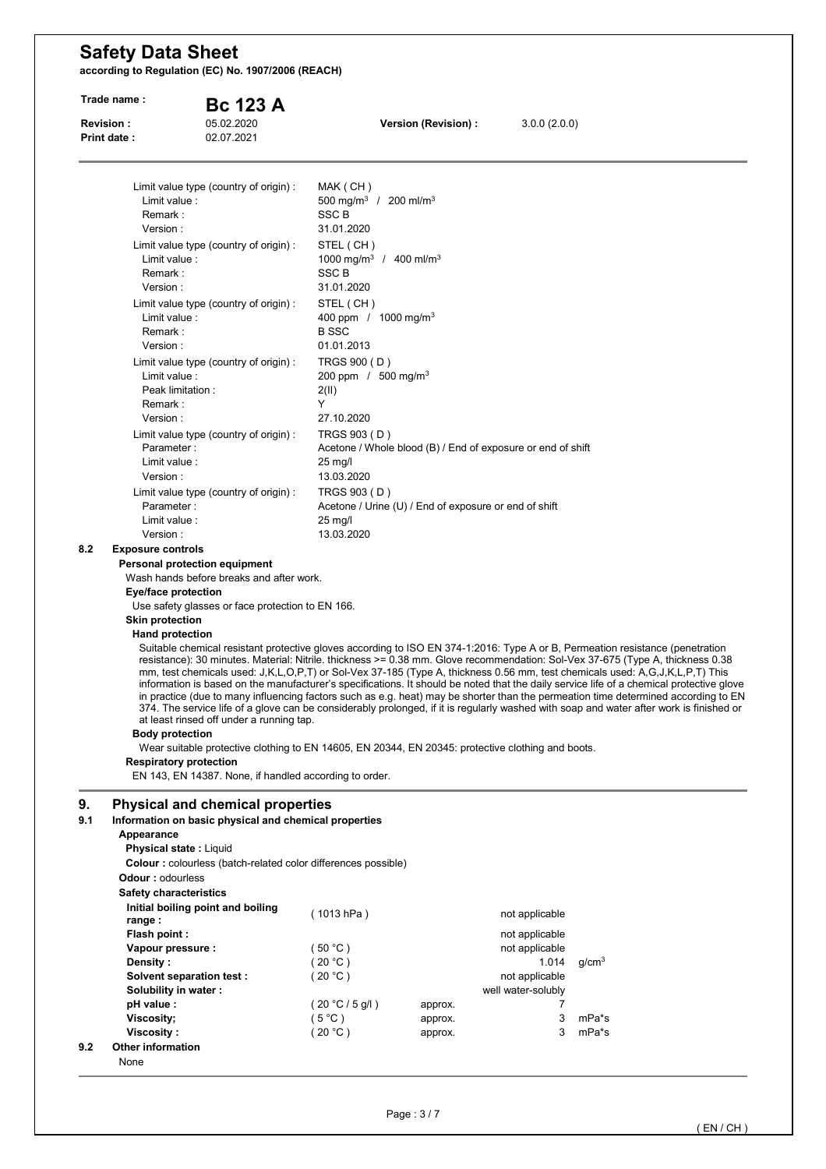| Trade name:                            |                                                                                                                                                                                                                                                                                                                                                                                                                                   | <b>Bc 123 A</b> |                                                                                                                                                                                                                                                                                                                                                                              |                               |                                                                 |                                                                                                                                                                                                                                                                                                                                                                                                                                                                                                                                                                                                                                                                                                                                                                                                                              |
|----------------------------------------|-----------------------------------------------------------------------------------------------------------------------------------------------------------------------------------------------------------------------------------------------------------------------------------------------------------------------------------------------------------------------------------------------------------------------------------|-----------------|------------------------------------------------------------------------------------------------------------------------------------------------------------------------------------------------------------------------------------------------------------------------------------------------------------------------------------------------------------------------------|-------------------------------|-----------------------------------------------------------------|------------------------------------------------------------------------------------------------------------------------------------------------------------------------------------------------------------------------------------------------------------------------------------------------------------------------------------------------------------------------------------------------------------------------------------------------------------------------------------------------------------------------------------------------------------------------------------------------------------------------------------------------------------------------------------------------------------------------------------------------------------------------------------------------------------------------------|
| <b>Revision:</b><br><b>Print date:</b> | 05.02.2020<br>02.07.2021                                                                                                                                                                                                                                                                                                                                                                                                          |                 |                                                                                                                                                                                                                                                                                                                                                                              | Version (Revision) :          | 3.0.0(2.0.0)                                                    |                                                                                                                                                                                                                                                                                                                                                                                                                                                                                                                                                                                                                                                                                                                                                                                                                              |
|                                        | Limit value type (country of origin) :<br>Limit value :<br>Remark:<br>Version:<br>Limit value type (country of origin) :<br>Limit value :<br>Remark:<br>Version:<br>Limit value type (country of origin) :<br>Limit value :<br>Remark:<br>Version:<br>Limit value type (country of origin) :<br>Limit value :<br>Peak limitation:<br>Remark :<br>Version:<br>Limit value type (country of origin):<br>Parameter:<br>Limit value : |                 | MAK (CH)<br>500 mg/m <sup>3</sup> / 200 ml/m <sup>3</sup><br><b>SSC B</b><br>31.01.2020<br>STEL (CH)<br>1000 mg/m <sup>3</sup> / 400 ml/m <sup>3</sup><br><b>SSC B</b><br>31.01.2020<br>STEL (CH)<br>400 ppm / 1000 mg/m <sup>3</sup><br><b>B</b> SSC<br>01.01.2013<br>TRGS 900 (D)<br>200 ppm / $500 \text{ mg/m}^3$<br>2(11)<br>Y<br>27.10.2020<br>TRGS 903 (D)<br>25 mg/l |                               | Acetone / Whole blood (B) / End of exposure or end of shift     |                                                                                                                                                                                                                                                                                                                                                                                                                                                                                                                                                                                                                                                                                                                                                                                                                              |
|                                        | Version:<br>Limit value type (country of origin) :<br>Parameter:                                                                                                                                                                                                                                                                                                                                                                  |                 | 13.03.2020<br>TRGS 903 (D)                                                                                                                                                                                                                                                                                                                                                   |                               | Acetone / Urine (U) / End of exposure or end of shift           |                                                                                                                                                                                                                                                                                                                                                                                                                                                                                                                                                                                                                                                                                                                                                                                                                              |
|                                        | Limit value :<br>Version:                                                                                                                                                                                                                                                                                                                                                                                                         |                 | 25 mg/l<br>13.03.2020                                                                                                                                                                                                                                                                                                                                                        |                               |                                                                 |                                                                                                                                                                                                                                                                                                                                                                                                                                                                                                                                                                                                                                                                                                                                                                                                                              |
| 8.2                                    | <b>Exposure controls</b><br>Personal protection equipment<br>Wash hands before breaks and after work.<br>Eye/face protection                                                                                                                                                                                                                                                                                                      |                 |                                                                                                                                                                                                                                                                                                                                                                              |                               |                                                                 |                                                                                                                                                                                                                                                                                                                                                                                                                                                                                                                                                                                                                                                                                                                                                                                                                              |
|                                        | Use safety glasses or face protection to EN 166.<br><b>Skin protection</b>                                                                                                                                                                                                                                                                                                                                                        |                 |                                                                                                                                                                                                                                                                                                                                                                              |                               |                                                                 |                                                                                                                                                                                                                                                                                                                                                                                                                                                                                                                                                                                                                                                                                                                                                                                                                              |
|                                        | <b>Hand protection</b><br>at least rinsed off under a running tap.<br><b>Body protection</b><br>Wear suitable protective clothing to EN 14605, EN 20344, EN 20345: protective clothing and boots.<br><b>Respiratory protection</b>                                                                                                                                                                                                |                 |                                                                                                                                                                                                                                                                                                                                                                              |                               |                                                                 | Suitable chemical resistant protective gloves according to ISO EN 374-1:2016: Type A or B, Permeation resistance (penetration<br>resistance): 30 minutes. Material: Nitrile. thickness >= 0.38 mm. Glove recommendation: Sol-Vex 37-675 (Type A, thickness 0.38<br>mm, test chemicals used: J,K,L,O,P,T) or Sol-Vex 37-185 (Type A, thickness 0.56 mm, test chemicals used: A,G,J,K,L,P,T) This<br>information is based on the manufacturer's specifications. It should be noted that the daily service life of a chemical protective glove<br>in practice (due to many influencing factors such as e.g. heat) may be shorter than the permeation time determined according to EN<br>374. The service life of a glove can be considerably prolonged, if it is regularly washed with soap and water after work is finished or |
| 9.                                     | EN 143, EN 14387. None, if handled according to order.<br><b>Physical and chemical properties</b>                                                                                                                                                                                                                                                                                                                                 |                 |                                                                                                                                                                                                                                                                                                                                                                              |                               |                                                                 |                                                                                                                                                                                                                                                                                                                                                                                                                                                                                                                                                                                                                                                                                                                                                                                                                              |
| 9.1                                    | Information on basic physical and chemical properties<br>Appearance<br><b>Physical state: Liquid</b><br><b>Colour:</b> colourless (batch-related color differences possible)<br><b>Odour: odourless</b><br><b>Safety characteristics</b>                                                                                                                                                                                          |                 |                                                                                                                                                                                                                                                                                                                                                                              |                               |                                                                 |                                                                                                                                                                                                                                                                                                                                                                                                                                                                                                                                                                                                                                                                                                                                                                                                                              |
|                                        | Initial boiling point and boiling<br>range :<br>Flash point:                                                                                                                                                                                                                                                                                                                                                                      |                 | (1013 hPa)                                                                                                                                                                                                                                                                                                                                                                   |                               | not applicable<br>not applicable                                |                                                                                                                                                                                                                                                                                                                                                                                                                                                                                                                                                                                                                                                                                                                                                                                                                              |
|                                        | Vapour pressure :<br>Density:<br>Solvent separation test:                                                                                                                                                                                                                                                                                                                                                                         |                 | (50 °C)<br>(20 °C)<br>(20 °C)                                                                                                                                                                                                                                                                                                                                                |                               | not applicable<br>1.014<br>not applicable<br>well water-solubly | g/cm <sup>3</sup>                                                                                                                                                                                                                                                                                                                                                                                                                                                                                                                                                                                                                                                                                                                                                                                                            |
|                                        | Solubility in water:                                                                                                                                                                                                                                                                                                                                                                                                              |                 |                                                                                                                                                                                                                                                                                                                                                                              |                               |                                                                 |                                                                                                                                                                                                                                                                                                                                                                                                                                                                                                                                                                                                                                                                                                                                                                                                                              |
| 9.2                                    | pH value :<br>Viscosity;<br>Viscosity:<br><b>Other information</b>                                                                                                                                                                                                                                                                                                                                                                |                 | (20 °C / 5 g/l)<br>$(5^{\circ}C)$<br>(20 °C)                                                                                                                                                                                                                                                                                                                                 | approx.<br>approx.<br>approx. | 7<br>3<br>3                                                     | mPa*s<br>mPa*s                                                                                                                                                                                                                                                                                                                                                                                                                                                                                                                                                                                                                                                                                                                                                                                                               |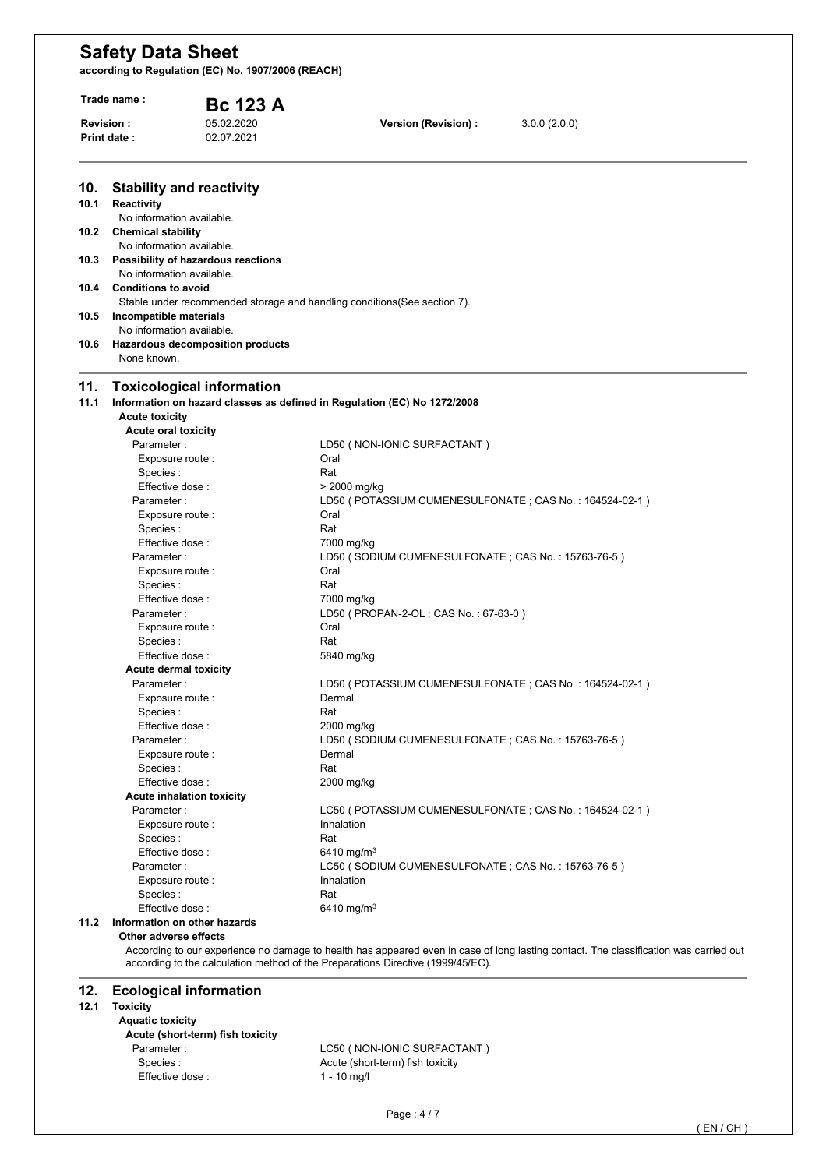**according to Regulation (EC) No. 1907/2006 (REACH)** 

|      | Trade name :                                           | <b>Bc 123 A</b>                    |                                                                           |              |  |
|------|--------------------------------------------------------|------------------------------------|---------------------------------------------------------------------------|--------------|--|
|      | <b>Revision:</b><br><b>Print date:</b>                 | 05.02.2020<br>02.07.2021           | Version (Revision) :                                                      | 3.0.0(2.0.0) |  |
| 10.  | <b>Stability and reactivity</b>                        |                                    |                                                                           |              |  |
| 10.1 | <b>Reactivity</b><br>No information available.         |                                    |                                                                           |              |  |
| 10.2 | <b>Chemical stability</b><br>No information available. |                                    |                                                                           |              |  |
| 10.3 | No information available.                              | Possibility of hazardous reactions |                                                                           |              |  |
| 10.4 | <b>Conditions to avoid</b>                             |                                    |                                                                           |              |  |
| 10.5 | Incompatible materials                                 |                                    | Stable under recommended storage and handling conditions (See section 7). |              |  |
| 10.6 | No information available.                              | Hazardous decomposition products   |                                                                           |              |  |
|      | None known.                                            |                                    |                                                                           |              |  |
| 11.  |                                                        | <b>Toxicological information</b>   |                                                                           |              |  |
| 11.1 |                                                        |                                    | Information on hazard classes as defined in Regulation (EC) No 1272/2008  |              |  |
|      | <b>Acute toxicity</b>                                  |                                    |                                                                           |              |  |
|      | <b>Acute oral toxicity</b>                             |                                    |                                                                           |              |  |
|      | Parameter:<br>Exposure route :                         |                                    | LD50 (NON-IONIC SURFACTANT)<br>Oral                                       |              |  |
|      | Species :                                              |                                    | Rat                                                                       |              |  |
|      | Effective dose:                                        |                                    | > 2000 mg/kg                                                              |              |  |
|      | Parameter:                                             |                                    | LD50 (POTASSIUM CUMENESULFONATE; CAS No.: 164524-02-1)                    |              |  |
|      | Exposure route :                                       |                                    | Oral                                                                      |              |  |
|      | Species :                                              |                                    | Rat                                                                       |              |  |
|      | Effective dose :                                       |                                    | 7000 mg/kg                                                                |              |  |
|      | Parameter:                                             |                                    | LD50 (SODIUM CUMENESULFONATE; CAS No.: 15763-76-5)                        |              |  |
|      | Exposure route :                                       |                                    | Oral                                                                      |              |  |
|      | Species :                                              |                                    | Rat                                                                       |              |  |
|      | Effective dose:                                        |                                    | 7000 mg/kg                                                                |              |  |
|      | Parameter:                                             |                                    |                                                                           |              |  |
|      |                                                        |                                    | LD50 (PROPAN-2-OL; CAS No.: 67-63-0)                                      |              |  |
|      | Exposure route :                                       |                                    | Oral<br>Rat                                                               |              |  |
|      | Species :                                              |                                    |                                                                           |              |  |
|      | Effective dose:                                        |                                    | 5840 mg/kg                                                                |              |  |
|      | Acute dermal toxicity                                  |                                    |                                                                           |              |  |
|      | Parameter:                                             |                                    | LD50 (POTASSIUM CUMENESULFONATE; CAS No.: 164524-02-1)<br>Dermal          |              |  |
|      | Exposure route :                                       |                                    |                                                                           |              |  |
|      | Species :                                              |                                    | Rat                                                                       |              |  |
|      | Effective dose :                                       |                                    | 2000 mg/kg                                                                |              |  |
|      | Parameter:                                             |                                    | LD50 (SODIUM CUMENESULFONATE; CAS No.: 15763-76-5)                        |              |  |
|      | Exposure route :                                       |                                    | Dermal                                                                    |              |  |
|      | Species:<br>Effective dose:                            |                                    | Rat                                                                       |              |  |
|      | <b>Acute inhalation toxicity</b>                       |                                    | 2000 mg/kg                                                                |              |  |
|      | Parameter:                                             |                                    | LC50 (POTASSIUM CUMENESULFONATE; CAS No.: 164524-02-1)                    |              |  |
|      | Exposure route :                                       |                                    | Inhalation                                                                |              |  |
|      | Species:                                               |                                    | Rat                                                                       |              |  |
|      | Effective dose:                                        |                                    | 6410 mg/m <sup>3</sup>                                                    |              |  |
|      | Parameter:                                             |                                    | LC50 (SODIUM CUMENESULFONATE; CAS No.: 15763-76-5)                        |              |  |
|      |                                                        |                                    | Inhalation                                                                |              |  |
|      | Exposure route :                                       |                                    | Rat                                                                       |              |  |
|      | Species:                                               |                                    |                                                                           |              |  |
|      | Effective dose:                                        |                                    | 6410 mg/m <sup>3</sup>                                                    |              |  |
| 11.2 | Information on other hazards<br>Other adverse effects  |                                    |                                                                           |              |  |
|      |                                                        |                                    |                                                                           |              |  |

### **12. Ecological information**

### **12.1 Toxicity**

#### **Aquatic toxicity**

 **Acute (short-term) fish toxicity**  Species : <br>  $\begin{array}{ccc} \text{Acute (short-term) fish toxicity} \\ \text{Effective dose :} \\ 1 - 10 \text{ mg/l} \end{array}$ er i<br>Effective dose :

LC50 ( NON-IONIC SURFACTANT )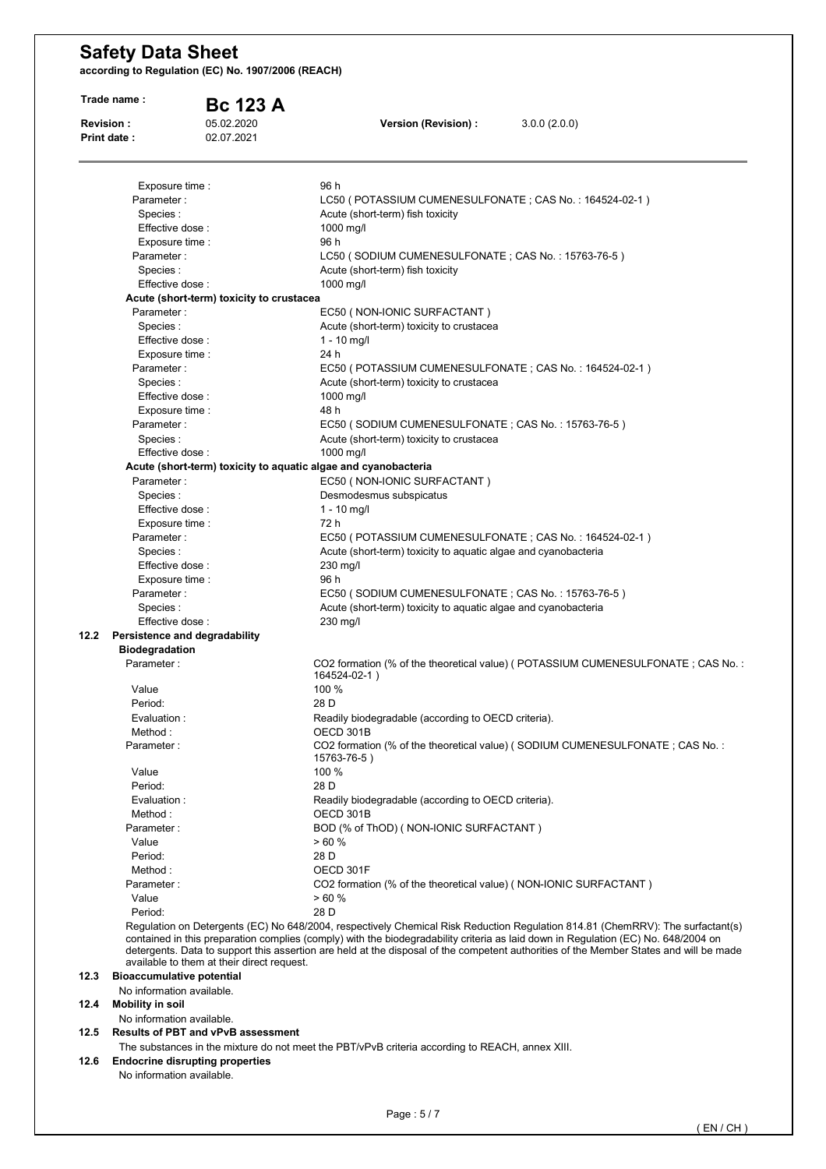|                  | Trade name:                            | <b>Bc 123 A</b>                            |                                                                                                                                                                                                                                                                                                                                                                                                                |
|------------------|----------------------------------------|--------------------------------------------|----------------------------------------------------------------------------------------------------------------------------------------------------------------------------------------------------------------------------------------------------------------------------------------------------------------------------------------------------------------------------------------------------------------|
| <b>Revision:</b> | <b>Print date:</b>                     | 05.02.2020<br>02.07.2021                   | Version (Revision) :<br>3.0.0(2.0.0)                                                                                                                                                                                                                                                                                                                                                                           |
|                  |                                        |                                            |                                                                                                                                                                                                                                                                                                                                                                                                                |
|                  | Exposure time :                        |                                            | 96 h                                                                                                                                                                                                                                                                                                                                                                                                           |
|                  | Parameter:                             |                                            | LC50 (POTASSIUM CUMENESULFONATE ; CAS No.: 164524-02-1)                                                                                                                                                                                                                                                                                                                                                        |
|                  | Species :                              |                                            | Acute (short-term) fish toxicity                                                                                                                                                                                                                                                                                                                                                                               |
|                  | Effective dose:                        |                                            | 1000 mg/l                                                                                                                                                                                                                                                                                                                                                                                                      |
|                  | Exposure time :                        |                                            | 96 h                                                                                                                                                                                                                                                                                                                                                                                                           |
|                  | Parameter:                             |                                            | LC50 (SODIUM CUMENESULFONATE; CAS No.: 15763-76-5)                                                                                                                                                                                                                                                                                                                                                             |
|                  | Species:<br>Effective dose:            |                                            | Acute (short-term) fish toxicity                                                                                                                                                                                                                                                                                                                                                                               |
|                  |                                        | Acute (short-term) toxicity to crustacea   | 1000 mg/l                                                                                                                                                                                                                                                                                                                                                                                                      |
|                  | Parameter:                             |                                            | EC50 (NON-IONIC SURFACTANT)                                                                                                                                                                                                                                                                                                                                                                                    |
|                  | Species:                               |                                            | Acute (short-term) toxicity to crustacea                                                                                                                                                                                                                                                                                                                                                                       |
|                  | Effective dose:                        |                                            | $1 - 10$ mg/l                                                                                                                                                                                                                                                                                                                                                                                                  |
|                  | Exposure time :                        |                                            | 24 h                                                                                                                                                                                                                                                                                                                                                                                                           |
|                  | Parameter:                             |                                            | EC50 (POTASSIUM CUMENESULFONATE; CAS No.: 164524-02-1)                                                                                                                                                                                                                                                                                                                                                         |
|                  | Species:                               |                                            | Acute (short-term) toxicity to crustacea                                                                                                                                                                                                                                                                                                                                                                       |
|                  | Effective dose:                        |                                            | 1000 mg/l                                                                                                                                                                                                                                                                                                                                                                                                      |
|                  | Exposure time :                        |                                            | 48 h                                                                                                                                                                                                                                                                                                                                                                                                           |
|                  | Parameter:                             |                                            | EC50 (SODIUM CUMENESULFONATE; CAS No.: 15763-76-5)                                                                                                                                                                                                                                                                                                                                                             |
|                  | Species:                               |                                            | Acute (short-term) toxicity to crustacea                                                                                                                                                                                                                                                                                                                                                                       |
|                  | Effective dose :                       |                                            | 1000 mg/l                                                                                                                                                                                                                                                                                                                                                                                                      |
|                  |                                        |                                            | Acute (short-term) toxicity to aquatic algae and cyanobacteria                                                                                                                                                                                                                                                                                                                                                 |
|                  | Parameter:                             |                                            | EC50 (NON-IONIC SURFACTANT)                                                                                                                                                                                                                                                                                                                                                                                    |
|                  | Species:                               |                                            | Desmodesmus subspicatus                                                                                                                                                                                                                                                                                                                                                                                        |
|                  | Effective dose:                        |                                            | $1 - 10$ mg/l                                                                                                                                                                                                                                                                                                                                                                                                  |
|                  | Exposure time :                        |                                            | 72 h                                                                                                                                                                                                                                                                                                                                                                                                           |
|                  | Parameter:                             |                                            | EC50 (POTASSIUM CUMENESULFONATE; CAS No.: 164524-02-1)                                                                                                                                                                                                                                                                                                                                                         |
|                  | Species:                               |                                            | Acute (short-term) toxicity to aquatic algae and cyanobacteria                                                                                                                                                                                                                                                                                                                                                 |
|                  | Effective dose :                       |                                            | 230 mg/l                                                                                                                                                                                                                                                                                                                                                                                                       |
|                  | Exposure time :<br>Parameter:          |                                            | 96 h<br>EC50 (SODIUM CUMENESULFONATE; CAS No.: 15763-76-5)                                                                                                                                                                                                                                                                                                                                                     |
|                  | Species:                               |                                            | Acute (short-term) toxicity to aquatic algae and cyanobacteria                                                                                                                                                                                                                                                                                                                                                 |
|                  | Effective dose:                        |                                            | 230 mg/l                                                                                                                                                                                                                                                                                                                                                                                                       |
| 12.2             | Persistence and degradability          |                                            |                                                                                                                                                                                                                                                                                                                                                                                                                |
|                  | <b>Biodegradation</b>                  |                                            |                                                                                                                                                                                                                                                                                                                                                                                                                |
|                  | Parameter:                             |                                            | CO2 formation (% of the theoretical value) (POTASSIUM CUMENESULFONATE; CAS No.:<br>164524-02-1)                                                                                                                                                                                                                                                                                                                |
|                  | Value                                  |                                            | 100 %                                                                                                                                                                                                                                                                                                                                                                                                          |
|                  | Period:                                |                                            | 28 D                                                                                                                                                                                                                                                                                                                                                                                                           |
|                  | Evaluation :                           |                                            | Readily biodegradable (according to OECD criteria).                                                                                                                                                                                                                                                                                                                                                            |
|                  | Method:                                |                                            | OECD 301B                                                                                                                                                                                                                                                                                                                                                                                                      |
|                  | Parameter:                             |                                            | CO2 formation (% of the theoretical value) (SODIUM CUMENESULFONATE; CAS No.:<br>15763-76-5)                                                                                                                                                                                                                                                                                                                    |
|                  | Value                                  |                                            | 100 %                                                                                                                                                                                                                                                                                                                                                                                                          |
|                  | Period:<br>Evaluation:                 |                                            | 28 D<br>Readily biodegradable (according to OECD criteria).                                                                                                                                                                                                                                                                                                                                                    |
|                  | Method:                                |                                            | OECD 301B                                                                                                                                                                                                                                                                                                                                                                                                      |
|                  | Parameter:                             |                                            | BOD (% of ThOD) (NON-IONIC SURFACTANT)                                                                                                                                                                                                                                                                                                                                                                         |
|                  | Value                                  |                                            | >60%                                                                                                                                                                                                                                                                                                                                                                                                           |
|                  | Period:                                |                                            | 28 D                                                                                                                                                                                                                                                                                                                                                                                                           |
|                  | Method:                                |                                            | OECD 301F                                                                                                                                                                                                                                                                                                                                                                                                      |
|                  | Parameter:                             |                                            | CO2 formation (% of the theoretical value) (NON-IONIC SURFACTANT)                                                                                                                                                                                                                                                                                                                                              |
|                  | Value                                  |                                            | >60%                                                                                                                                                                                                                                                                                                                                                                                                           |
|                  | Period:                                |                                            | 28 D                                                                                                                                                                                                                                                                                                                                                                                                           |
|                  |                                        | available to them at their direct request. | Regulation on Detergents (EC) No 648/2004, respectively Chemical Risk Reduction Regulation 814.81 (ChemRRV): The surfactant(s)<br>contained in this preparation complies (comply) with the biodegradability criteria as laid down in Regulation (EC) No. 648/2004 on<br>detergents. Data to support this assertion are held at the disposal of the competent authorities of the Member States and will be made |
| 12.3             | <b>Bioaccumulative potential</b>       |                                            |                                                                                                                                                                                                                                                                                                                                                                                                                |
|                  | No information available.              |                                            |                                                                                                                                                                                                                                                                                                                                                                                                                |
| 12.4             | <b>Mobility in soil</b>                |                                            |                                                                                                                                                                                                                                                                                                                                                                                                                |
|                  | No information available.              |                                            |                                                                                                                                                                                                                                                                                                                                                                                                                |
|                  |                                        | <b>Results of PBT and vPvB assessment</b>  |                                                                                                                                                                                                                                                                                                                                                                                                                |
|                  |                                        |                                            |                                                                                                                                                                                                                                                                                                                                                                                                                |
| 12.5<br>12.6     | <b>Endocrine disrupting properties</b> |                                            | The substances in the mixture do not meet the PBT/vPvB criteria according to REACH, annex XIII.                                                                                                                                                                                                                                                                                                                |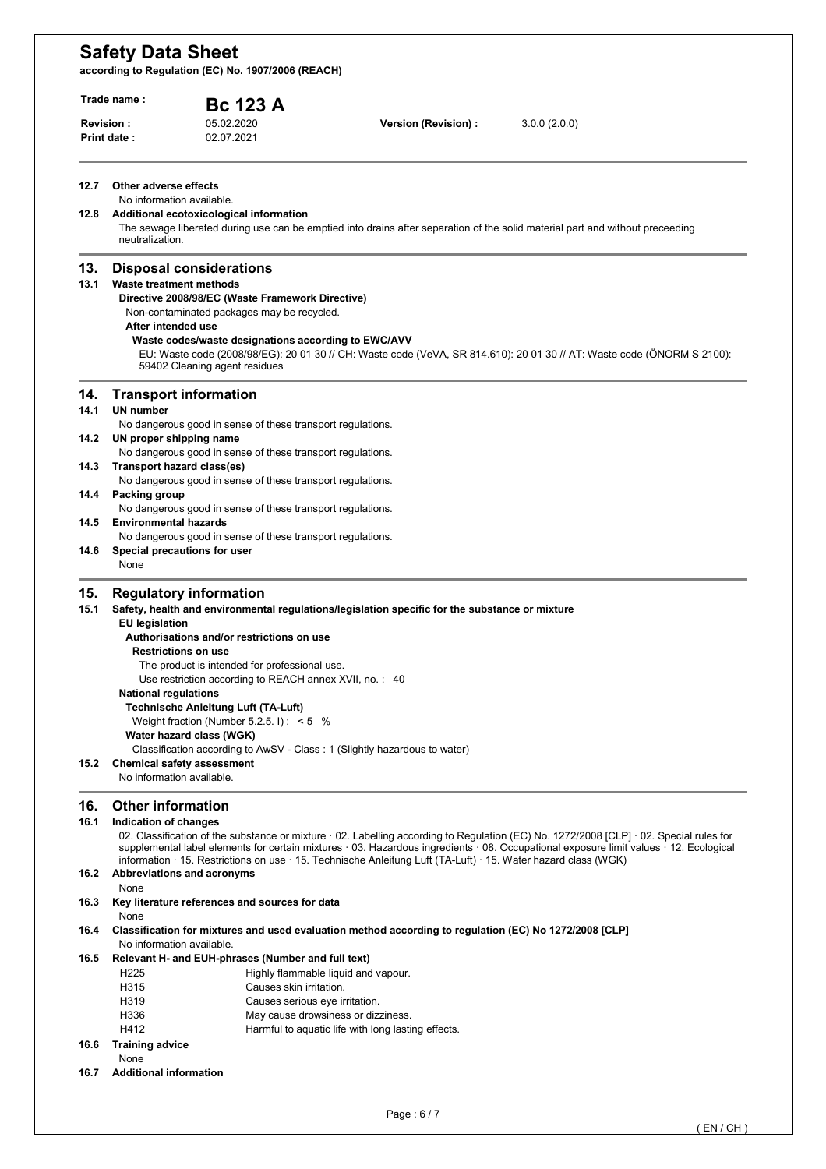|                      | <b>Revision:</b>               | <b>Bc 123 A</b><br>05.02.2020                              | Version (Revision) :                                                                                           | 3.0.0(2.0.0)                                                                                                                                                                                                                                                                  |
|----------------------|--------------------------------|------------------------------------------------------------|----------------------------------------------------------------------------------------------------------------|-------------------------------------------------------------------------------------------------------------------------------------------------------------------------------------------------------------------------------------------------------------------------------|
|                      | Print date:                    | 02.07.2021                                                 |                                                                                                                |                                                                                                                                                                                                                                                                               |
| 12.7                 | Other adverse effects          |                                                            |                                                                                                                |                                                                                                                                                                                                                                                                               |
|                      | No information available.      |                                                            |                                                                                                                |                                                                                                                                                                                                                                                                               |
| 12.8                 |                                | Additional ecotoxicological information                    |                                                                                                                |                                                                                                                                                                                                                                                                               |
|                      | neutralization.                |                                                            |                                                                                                                | The sewage liberated during use can be emptied into drains after separation of the solid material part and without preceeding                                                                                                                                                 |
| 13.                  |                                | <b>Disposal considerations</b>                             |                                                                                                                |                                                                                                                                                                                                                                                                               |
| 13.1                 | <b>Waste treatment methods</b> |                                                            |                                                                                                                |                                                                                                                                                                                                                                                                               |
|                      |                                | Directive 2008/98/EC (Waste Framework Directive)           |                                                                                                                |                                                                                                                                                                                                                                                                               |
|                      | After intended use             | Non-contaminated packages may be recycled.                 |                                                                                                                |                                                                                                                                                                                                                                                                               |
|                      |                                | Waste codes/waste designations according to EWC/AVV        |                                                                                                                |                                                                                                                                                                                                                                                                               |
|                      |                                | 59402 Cleaning agent residues                              |                                                                                                                | EU: Waste code (2008/98/EG): 20 01 30 // CH: Waste code (VeVA, SR 814.610): 20 01 30 // AT: Waste code (ONORM S 2100):                                                                                                                                                        |
| 14.                  |                                | <b>Transport information</b>                               |                                                                                                                |                                                                                                                                                                                                                                                                               |
| 14.1                 | <b>UN number</b>               |                                                            |                                                                                                                |                                                                                                                                                                                                                                                                               |
|                      |                                | No dangerous good in sense of these transport regulations. |                                                                                                                |                                                                                                                                                                                                                                                                               |
| 14.2                 | UN proper shipping name        |                                                            |                                                                                                                |                                                                                                                                                                                                                                                                               |
|                      |                                | No dangerous good in sense of these transport regulations. |                                                                                                                |                                                                                                                                                                                                                                                                               |
| 14.3                 | Transport hazard class(es)     | No dangerous good in sense of these transport regulations. |                                                                                                                |                                                                                                                                                                                                                                                                               |
| 14.4                 | <b>Packing group</b>           |                                                            |                                                                                                                |                                                                                                                                                                                                                                                                               |
|                      |                                | No dangerous good in sense of these transport regulations. |                                                                                                                |                                                                                                                                                                                                                                                                               |
| 14.5                 | <b>Environmental hazards</b>   |                                                            |                                                                                                                |                                                                                                                                                                                                                                                                               |
|                      |                                | No dangerous good in sense of these transport regulations. |                                                                                                                |                                                                                                                                                                                                                                                                               |
| 14.6                 | Special precautions for user   |                                                            |                                                                                                                |                                                                                                                                                                                                                                                                               |
|                      | None                           |                                                            |                                                                                                                |                                                                                                                                                                                                                                                                               |
| 15.                  |                                | <b>Regulatory information</b>                              |                                                                                                                |                                                                                                                                                                                                                                                                               |
| 15.1                 |                                |                                                            | Safety, health and environmental regulations/legislation specific for the substance or mixture                 |                                                                                                                                                                                                                                                                               |
|                      | <b>EU</b> legislation          |                                                            |                                                                                                                |                                                                                                                                                                                                                                                                               |
|                      |                                | Authorisations and/or restrictions on use                  |                                                                                                                |                                                                                                                                                                                                                                                                               |
|                      |                                | <b>Restrictions on use</b>                                 |                                                                                                                |                                                                                                                                                                                                                                                                               |
|                      |                                |                                                            |                                                                                                                |                                                                                                                                                                                                                                                                               |
|                      |                                | The product is intended for professional use.              |                                                                                                                |                                                                                                                                                                                                                                                                               |
|                      |                                | Use restriction according to REACH annex XVII, no.: 40     |                                                                                                                |                                                                                                                                                                                                                                                                               |
|                      | <b>National regulations</b>    |                                                            |                                                                                                                |                                                                                                                                                                                                                                                                               |
|                      |                                | <b>Technische Anleitung Luft (TA-Luft)</b>                 |                                                                                                                |                                                                                                                                                                                                                                                                               |
|                      |                                | Weight fraction (Number 5.2.5.1): $< 5$ %                  |                                                                                                                |                                                                                                                                                                                                                                                                               |
|                      |                                | Water hazard class (WGK)                                   |                                                                                                                |                                                                                                                                                                                                                                                                               |
|                      |                                | <b>Chemical safety assessment</b>                          | Classification according to AwSV - Class: 1 (Slightly hazardous to water)                                      |                                                                                                                                                                                                                                                                               |
|                      | No information available.      |                                                            |                                                                                                                |                                                                                                                                                                                                                                                                               |
|                      | <b>Other information</b>       |                                                            |                                                                                                                |                                                                                                                                                                                                                                                                               |
| 15.2<br>16.<br>16.1  | Indication of changes          |                                                            |                                                                                                                |                                                                                                                                                                                                                                                                               |
|                      |                                |                                                            |                                                                                                                |                                                                                                                                                                                                                                                                               |
|                      |                                |                                                            | information · 15. Restrictions on use · 15. Technische Anleitung Luft (TA-Luft) · 15. Water hazard class (WGK) |                                                                                                                                                                                                                                                                               |
| 16.2                 | Abbreviations and acronyms     |                                                            |                                                                                                                |                                                                                                                                                                                                                                                                               |
|                      | None                           |                                                            |                                                                                                                |                                                                                                                                                                                                                                                                               |
|                      |                                | Key literature references and sources for data             |                                                                                                                |                                                                                                                                                                                                                                                                               |
|                      | None                           |                                                            | Classification for mixtures and used evaluation method according to regulation (EC) No 1272/2008 [CLP]         |                                                                                                                                                                                                                                                                               |
|                      | No information available.      |                                                            |                                                                                                                |                                                                                                                                                                                                                                                                               |
|                      |                                | Relevant H- and EUH-phrases (Number and full text)         |                                                                                                                |                                                                                                                                                                                                                                                                               |
|                      | H <sub>225</sub>               |                                                            | Highly flammable liquid and vapour.                                                                            |                                                                                                                                                                                                                                                                               |
|                      | H315                           | Causes skin irritation.                                    |                                                                                                                |                                                                                                                                                                                                                                                                               |
|                      | H319<br>H336                   | Causes serious eye irritation.                             | May cause drowsiness or dizziness.                                                                             |                                                                                                                                                                                                                                                                               |
| 16.3<br>16.4<br>16.5 | H412                           |                                                            | Harmful to aquatic life with long lasting effects.                                                             | 02. Classification of the substance or mixture 02. Labelling according to Regulation (EC) No. 1272/2008 [CLP] 02. Special rules for<br>supplemental label elements for certain mixtures · 03. Hazardous ingredients · 08. Occupational exposure limit values · 12. Ecological |
|                      | <b>Training advice</b>         |                                                            |                                                                                                                |                                                                                                                                                                                                                                                                               |
| 16.6                 | None                           |                                                            |                                                                                                                |                                                                                                                                                                                                                                                                               |